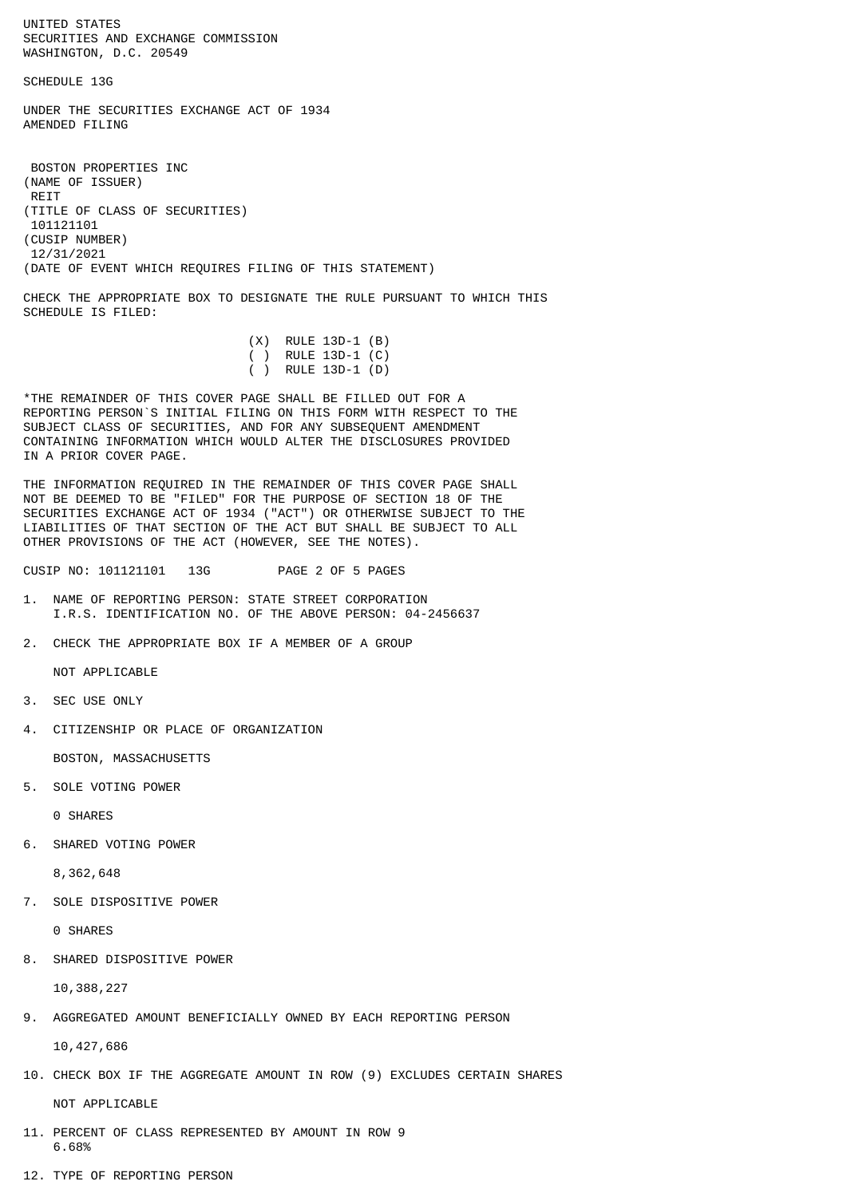UNITED STATES SECURITIES AND EXCHANGE COMMISSION WASHINGTON, D.C. 20549

SCHEDULE 13G

UNDER THE SECURITIES EXCHANGE ACT OF 1934 AMENDED FILING

 BOSTON PROPERTIES INC (NAME OF ISSUER) REIT (TITLE OF CLASS OF SECURITIES) 101121101 (CUSIP NUMBER) 12/31/2021 (DATE OF EVENT WHICH REQUIRES FILING OF THIS STATEMENT)

CHECK THE APPROPRIATE BOX TO DESIGNATE THE RULE PURSUANT TO WHICH THIS SCHEDULE IS FILED:

| $(X)$ RULE 13D-1 $(B)$ |
|------------------------|
| ( ) RULE 13D-1 $(C)$   |
| ( ) RULE 13D-1 (D)     |
|                        |

\*THE REMAINDER OF THIS COVER PAGE SHALL BE FILLED OUT FOR A REPORTING PERSON`S INITIAL FILING ON THIS FORM WITH RESPECT TO THE SUBJECT CLASS OF SECURITIES, AND FOR ANY SUBSEQUENT AMENDMENT CONTAINING INFORMATION WHICH WOULD ALTER THE DISCLOSURES PROVIDED IN A PRIOR COVER PAGE.

THE INFORMATION REQUIRED IN THE REMAINDER OF THIS COVER PAGE SHALL NOT BE DEEMED TO BE "FILED" FOR THE PURPOSE OF SECTION 18 OF THE SECURITIES EXCHANGE ACT OF 1934 ("ACT") OR OTHERWISE SUBJECT TO THE LIABILITIES OF THAT SECTION OF THE ACT BUT SHALL BE SUBJECT TO ALL OTHER PROVISIONS OF THE ACT (HOWEVER, SEE THE NOTES).

CUSIP NO: 101121101 13G PAGE 2 OF 5 PAGES

- 1. NAME OF REPORTING PERSON: STATE STREET CORPORATION I.R.S. IDENTIFICATION NO. OF THE ABOVE PERSON: 04-2456637
- 2. CHECK THE APPROPRIATE BOX IF A MEMBER OF A GROUP

NOT APPLICABLE

- 3. SEC USE ONLY
- 4. CITIZENSHIP OR PLACE OF ORGANIZATION

BOSTON, MASSACHUSETTS

5. SOLE VOTING POWER

0 SHARES

6. SHARED VOTING POWER

8,362,648

7. SOLE DISPOSITIVE POWER

0 SHARES

8. SHARED DISPOSITIVE POWER

10,388,227

9. AGGREGATED AMOUNT BENEFICIALLY OWNED BY EACH REPORTING PERSON

10,427,686

10. CHECK BOX IF THE AGGREGATE AMOUNT IN ROW (9) EXCLUDES CERTAIN SHARES

NOT APPLICABLE

- 11. PERCENT OF CLASS REPRESENTED BY AMOUNT IN ROW 9 6.68%
- 12. TYPE OF REPORTING PERSON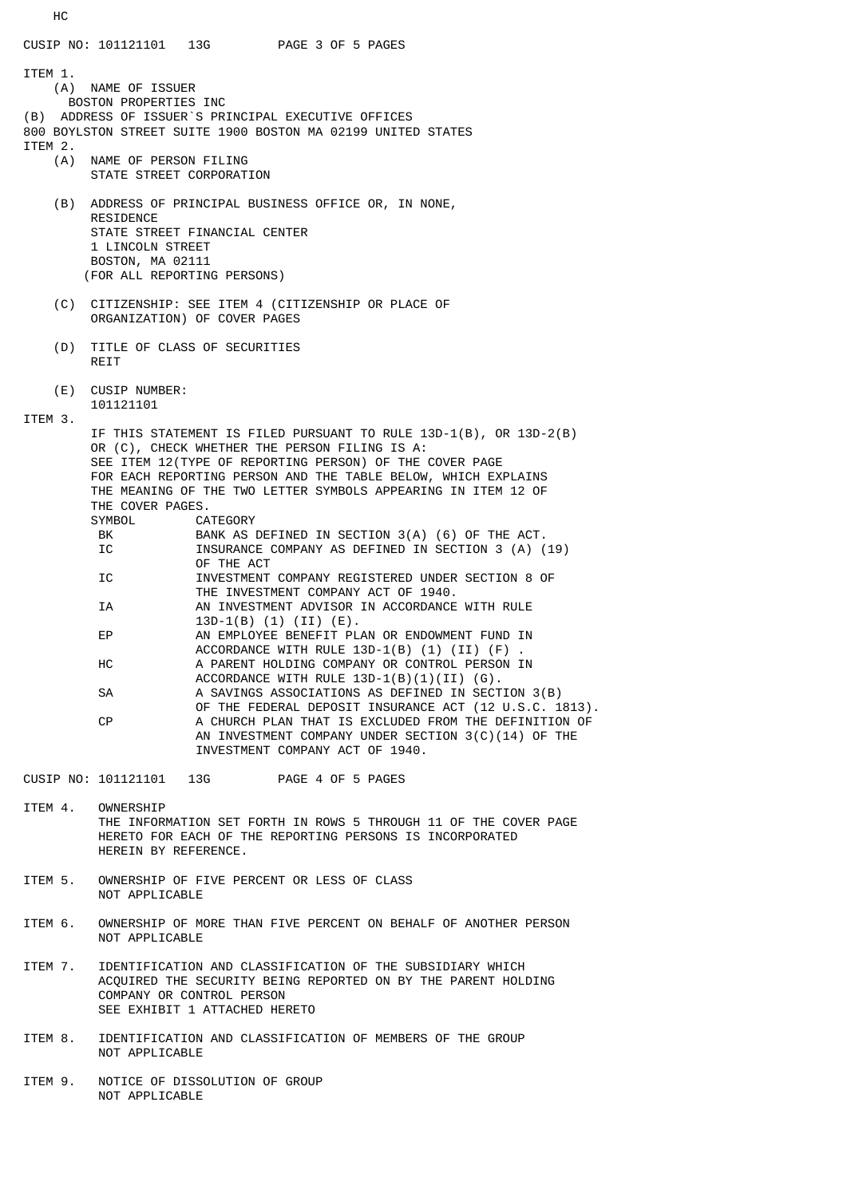HC CUSIP NO: 101121101 13G PAGE 3 OF 5 PAGES ITEM 1.<br>(A) NAME OF ISSUER BOSTON PROPERTIES INC (B) ADDRESS OF ISSUER`S PRINCIPAL EXECUTIVE OFFICES 800 BOYLSTON STREET SUITE 1900 BOSTON MA 02199 UNITED STATES ITEM 2.<br>(A) NAME OF PERSON FILING STATE STREET CORPORATION (B) ADDRESS OF PRINCIPAL BUSINESS OFFICE OR, IN NONE, RESIDENCE STATE STREET FINANCIAL CENTER 1 LINCOLN STREET BOSTON, MA 02111 (FOR ALL REPORTING PERSONS) (C) CITIZENSHIP: SEE ITEM 4 (CITIZENSHIP OR PLACE OF ORGANIZATION) OF COVER PAGES (D) TITLE OF CLASS OF SECURITIES **RETT**  (E) CUSIP NUMBER: 101121101 ITEM 3. IF THIS STATEMENT IS FILED PURSUANT TO RULE 13D-1(B), OR 13D-2(B) OR (C), CHECK WHETHER THE PERSON FILING IS A: SEE ITEM 12(TYPE OF REPORTING PERSON) OF THE COVER PAGE FOR EACH REPORTING PERSON AND THE TABLE BELOW, WHICH EXPLAINS THE MEANING OF THE TWO LETTER SYMBOLS APPEARING IN ITEM 12 OF THE COVER PAGES. SYMBOL CATEGORY<br>BK BANKAS BANK AS DEFINED IN SECTION 3(A) (6) OF THE ACT. IC **INSURANCE COMPANY AS DEFINED IN SECTION 3 (A) (19)**  OF THE ACT IC INVESTMENT COMPANY REGISTERED UNDER SECTION 8 OF THE INVESTMENT COMPANY ACT OF 1940. IA AN INVESTMENT ADVISOR IN ACCORDANCE WITH RULE 13D-1(B) (1) (II) (E).<br>EP AN EMPLOYEE BENEFIT PL AN EMPLOYEE BENEFIT PLAN OR ENDOWMENT FUND IN ACCORDANCE WITH RULE  $13D-1(B)$  (1) (II) (F) HC A PARENT HOLDING COMPANY OR CONTROL PERSON IN ACCORDANCE WITH RULE 13D-1(B)(1)(II) (G). SA A SAVINGS ASSOCIATIONS AS DEFINED IN SECTION 3(B) OF THE FEDERAL DEPOSIT INSURANCE ACT (12 U.S.C. 1813).<br>A CHURCH PLAN THAT IS EXCLUDED FROM THE DEFINITION OF A CHURCH PLAN THAT IS EXCLUDED FROM THE DEFINITION OF AN INVESTMENT COMPANY UNDER SECTION 3(C)(14) OF THE INVESTMENT COMPANY ACT OF 1940. CUSIP NO: 101121101 13G PAGE 4 OF 5 PAGES

- ITEM 4. OWNERSHIP THE INFORMATION SET FORTH IN ROWS 5 THROUGH 11 OF THE COVER PAGE HERETO FOR EACH OF THE REPORTING PERSONS IS INCORPORATED HEREIN BY REFERENCE.
- ITEM 5. OWNERSHIP OF FIVE PERCENT OR LESS OF CLASS NOT APPLICABLE
- ITEM 6. OWNERSHIP OF MORE THAN FIVE PERCENT ON BEHALF OF ANOTHER PERSON NOT APPLICABLE
- ITEM 7. IDENTIFICATION AND CLASSIFICATION OF THE SUBSIDIARY WHICH ACQUIRED THE SECURITY BEING REPORTED ON BY THE PARENT HOLDING COMPANY OR CONTROL PERSON SEE EXHIBIT 1 ATTACHED HERETO
- ITEM 8. IDENTIFICATION AND CLASSIFICATION OF MEMBERS OF THE GROUP NOT APPLICABLE
- ITEM 9. NOTICE OF DISSOLUTION OF GROUP NOT APPLICABLE